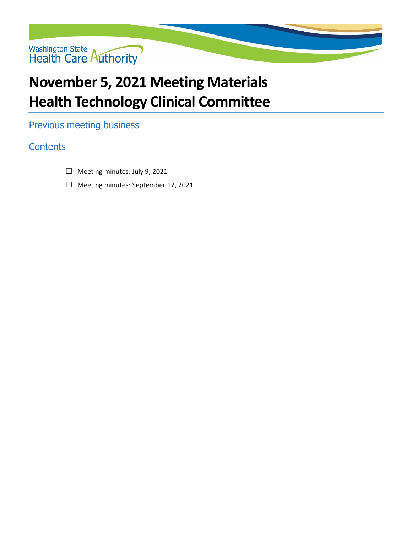

### **November 5, 2021 Meeting Materials Health Technology Clinical Committee**

Previous meeting business

### **Contents**

- ☐ Meeting minutes: July 9, 2021
- ☐ Meeting minutes: September 17, 2021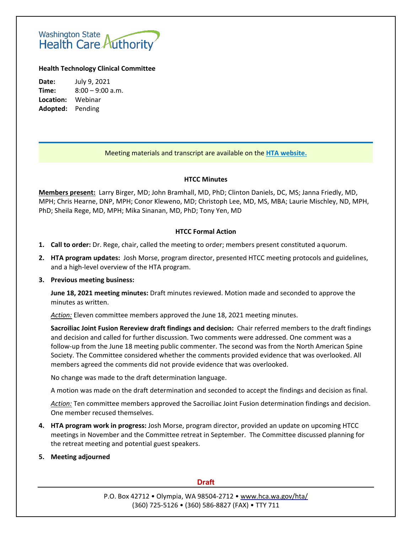# Washington State<br>Health Care Authority

#### **Health Technology Clinical Committee**

**Date:** July 9, 2021 **Time:** 8:00 – 9:00 a.m. **Location:** Webinar **Adopted:** Pending

#### Meeting materials and transcript are available on the **[HTA website.](http://www.hca.wa.gov/about-hca/health-technology-assessment/meetings-and-materials)**

#### **HTCC Minutes**

**Members present:** Larry Birger, MD; John Bramhall, MD, PhD; Clinton Daniels, DC, MS; Janna Friedly, MD, MPH; Chris Hearne, DNP, MPH; Conor Kleweno, MD; Christoph Lee, MD, MS, MBA; Laurie Mischley, ND, MPH, PhD; Sheila Rege, MD, MPH; Mika Sinanan, MD, PhD; Tony Yen, MD

#### **HTCC Formal Action**

- **1. Call to order:** Dr. Rege, chair, called the meeting to order; members present constituted aquorum.
- **2. HTA program updates:** Josh Morse, program director, presented HTCC meeting protocols and guidelines, and a high-level overview of the HTA program.

#### **3. Previous meeting business:**

**June 18, 2021 meeting minutes:** Draft minutes reviewed. Motion made and seconded to approve the minutes as written.

*Action:* Eleven committee members approved the June 18, 2021 meeting minutes.

**Sacroiliac Joint Fusion Rereview draft findings and decision:** Chair referred members to the draft findings and decision and called for further discussion. Two comments were addressed. One comment was a follow-up from the June 18 meeting public commenter. The second was from the North American Spine Society. The Committee considered whether the comments provided evidence that was overlooked. All members agreed the comments did not provide evidence that was overlooked.

No change was made to the draft determination language.

A motion was made on the draft determination and seconded to accept the findings and decision as final.

*Action:* Ten committee members approved the Sacroiliac Joint Fusion determination findings and decision. One member recused themselves.

**4. HTA program work in progress:** Josh Morse, program director, provided an update on upcoming HTCC meetings in November and the Committee retreat in September. The Committee discussed planning for the retreat meeting and potential guest speakers.

#### **5. Meeting adjourned**

#### **Draft**

P.O. Box 42712 • Olympia, WA 98504-2712 [• www.hca.wa.gov/hta/](http://www.hca.wa.gov/hta/) (360) 725-5126 • (360) 586-8827 (FAX) • TTY 711